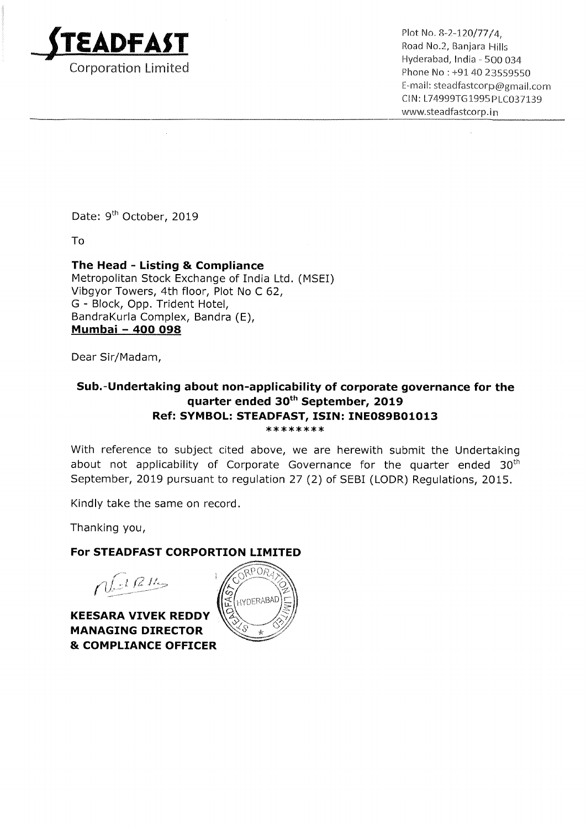

Plot No. 8-2-120/77/4. Road No.2, Banjara Hills Hyderabad, India - 500 034 Phone No : +91 40 23559550 E-mail: steadfastcorp@gmail.com ClN: L74999T61995PLC037139 www.5teadfastcorp.in

Date: 9<sup>th</sup> October, 2019

To

# The Head - Listing & Compliance

Metropolitan Stock Exchange of India Ltd. (MSEI) Vibgyor Towers, 4th floor, Plot No <sup>C</sup> 62, G — Block, Opp. Trident Hotel, BandraKurla Complex, Bandra (E), Mumbai — 400 098

Dear Sir/Madam,

### Sub.—Undertaking about non-applicability of corporate governance for the quarter ended 30th September, 2019 Ref: SYMBOL: STEADFAST, ISIN: INE089B01013 \*\*\*\*\*\*\*\*

With reference to subject cited above, we are herewith submit the Undertaking about not applicability of Corporate Governance for the quarter ended  $30<sup>th</sup>$ September, 2019 pursuant to regulation 27 (2) of SEBI (LODR) Regulations, 2015.

Kindly take the same on record.

Thanking you,

# For STEADFAST CORPORTION LIMITED

 $n!$  d  $n$ 

KEESARA VIVEK REDDY MANAGING DIRECTOR & COMPLIANCE OFFICER